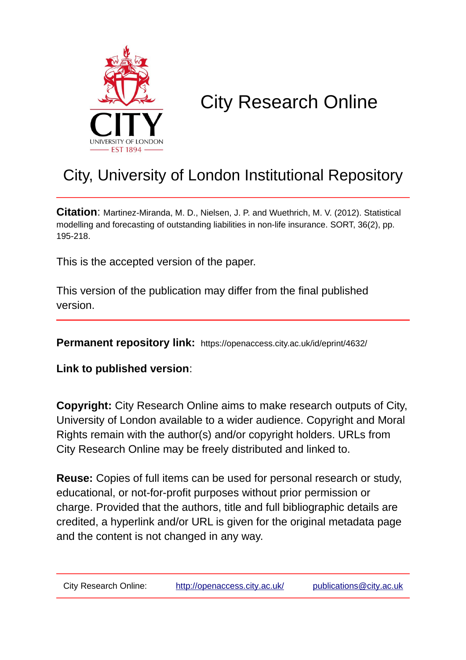

# City Research Online

## City, University of London Institutional Repository

**Citation**: Martinez-Miranda, M. D., Nielsen, J. P. and Wuethrich, M. V. (2012). Statistical modelling and forecasting of outstanding liabilities in non-life insurance. SORT, 36(2), pp. 195-218.

This is the accepted version of the paper.

This version of the publication may differ from the final published version.

**Permanent repository link:** https://openaccess.city.ac.uk/id/eprint/4632/

**Link to published version**:

**Copyright:** City Research Online aims to make research outputs of City, University of London available to a wider audience. Copyright and Moral Rights remain with the author(s) and/or copyright holders. URLs from City Research Online may be freely distributed and linked to.

**Reuse:** Copies of full items can be used for personal research or study, educational, or not-for-profit purposes without prior permission or charge. Provided that the authors, title and full bibliographic details are credited, a hyperlink and/or URL is given for the original metadata page and the content is not changed in any way.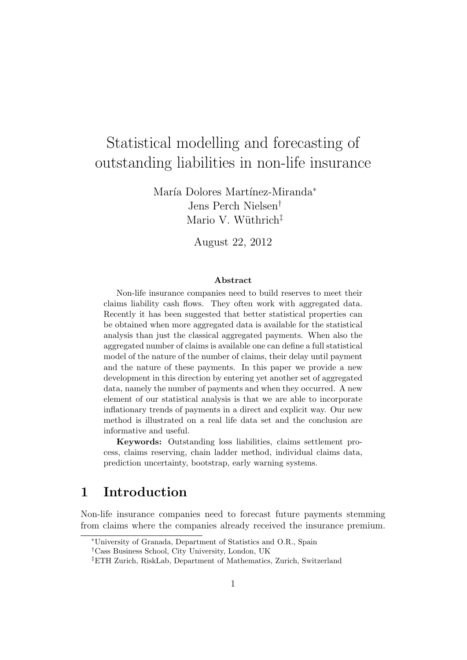## Statistical modelling and forecasting of outstanding liabilities in non-life insurance

María Dolores Martínez-Miranda<sup>∗</sup> Jens Perch Nielsen† Mario V. Wüthrich<sup> $\ddagger$ </sup>

August 22, 2012

#### Abstract

Non-life insurance companies need to build reserves to meet their claims liability cash flows. They often work with aggregated data. Recently it has been suggested that better statistical properties can be obtained when more aggregated data is available for the statistical analysis than just the classical aggregated payments. When also the aggregated number of claims is available one can define a full statistical model of the nature of the number of claims, their delay until payment and the nature of these payments. In this paper we provide a new development in this direction by entering yet another set of aggregated data, namely the number of payments and when they occurred. A new element of our statistical analysis is that we are able to incorporate inflationary trends of payments in a direct and explicit way. Our new method is illustrated on a real life data set and the conclusion are informative and useful.

Keywords: Outstanding loss liabilities, claims settlement process, claims reserving, chain ladder method, individual claims data, prediction uncertainty, bootstrap, early warning systems.

## 1 Introduction

Non-life insurance companies need to forecast future payments stemming from claims where the companies already received the insurance premium.

<sup>∗</sup>University of Granada, Department of Statistics and O.R., Spain

<sup>†</sup>Cass Business School, City University, London, UK

<sup>‡</sup>ETH Zurich, RiskLab, Department of Mathematics, Zurich, Switzerland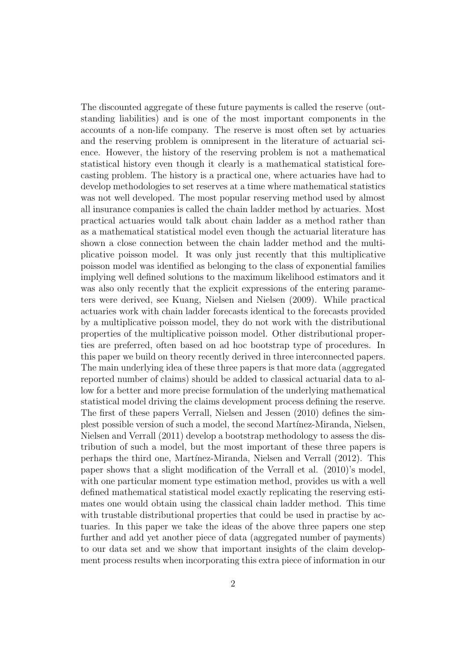The discounted aggregate of these future payments is called the reserve (outstanding liabilities) and is one of the most important components in the accounts of a non-life company. The reserve is most often set by actuaries and the reserving problem is omnipresent in the literature of actuarial science. However, the history of the reserving problem is not a mathematical statistical history even though it clearly is a mathematical statistical forecasting problem. The history is a practical one, where actuaries have had to develop methodologies to set reserves at a time where mathematical statistics was not well developed. The most popular reserving method used by almost all insurance companies is called the chain ladder method by actuaries. Most practical actuaries would talk about chain ladder as a method rather than as a mathematical statistical model even though the actuarial literature has shown a close connection between the chain ladder method and the multiplicative poisson model. It was only just recently that this multiplicative poisson model was identified as belonging to the class of exponential families implying well defined solutions to the maximum likelihood estimators and it was also only recently that the explicit expressions of the entering parameters were derived, see Kuang, Nielsen and Nielsen (2009). While practical actuaries work with chain ladder forecasts identical to the forecasts provided by a multiplicative poisson model, they do not work with the distributional properties of the multiplicative poisson model. Other distributional properties are preferred, often based on ad hoc bootstrap type of procedures. In this paper we build on theory recently derived in three interconnected papers. The main underlying idea of these three papers is that more data (aggregated reported number of claims) should be added to classical actuarial data to allow for a better and more precise formulation of the underlying mathematical statistical model driving the claims development process defining the reserve. The first of these papers Verrall, Nielsen and Jessen (2010) defines the simplest possible version of such a model, the second Mart´ınez-Miranda, Nielsen, Nielsen and Verrall (2011) develop a bootstrap methodology to assess the distribution of such a model, but the most important of these three papers is perhaps the third one, Mart´ınez-Miranda, Nielsen and Verrall (2012). This paper shows that a slight modification of the Verrall et al. (2010)'s model, with one particular moment type estimation method, provides us with a well defined mathematical statistical model exactly replicating the reserving estimates one would obtain using the classical chain ladder method. This time with trustable distributional properties that could be used in practise by actuaries. In this paper we take the ideas of the above three papers one step further and add yet another piece of data (aggregated number of payments) to our data set and we show that important insights of the claim development process results when incorporating this extra piece of information in our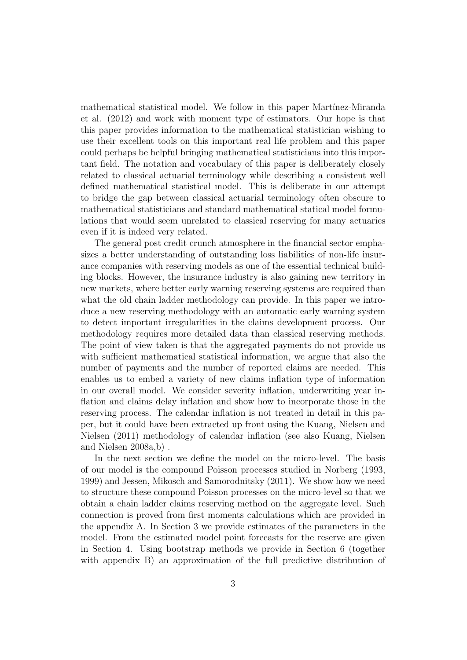mathematical statistical model. We follow in this paper Martínez-Miranda et al. (2012) and work with moment type of estimators. Our hope is that this paper provides information to the mathematical statistician wishing to use their excellent tools on this important real life problem and this paper could perhaps be helpful bringing mathematical statisticians into this important field. The notation and vocabulary of this paper is deliberately closely related to classical actuarial terminology while describing a consistent well defined mathematical statistical model. This is deliberate in our attempt to bridge the gap between classical actuarial terminology often obscure to mathematical statisticians and standard mathematical statical model formulations that would seem unrelated to classical reserving for many actuaries even if it is indeed very related.

The general post credit crunch atmosphere in the financial sector emphasizes a better understanding of outstanding loss liabilities of non-life insurance companies with reserving models as one of the essential technical building blocks. However, the insurance industry is also gaining new territory in new markets, where better early warning reserving systems are required than what the old chain ladder methodology can provide. In this paper we introduce a new reserving methodology with an automatic early warning system to detect important irregularities in the claims development process. Our methodology requires more detailed data than classical reserving methods. The point of view taken is that the aggregated payments do not provide us with sufficient mathematical statistical information, we argue that also the number of payments and the number of reported claims are needed. This enables us to embed a variety of new claims inflation type of information in our overall model. We consider severity inflation, underwriting year inflation and claims delay inflation and show how to incorporate those in the reserving process. The calendar inflation is not treated in detail in this paper, but it could have been extracted up front using the Kuang, Nielsen and Nielsen (2011) methodology of calendar inflation (see also Kuang, Nielsen and Nielsen 2008a,b) .

In the next section we define the model on the micro-level. The basis of our model is the compound Poisson processes studied in Norberg (1993, 1999) and Jessen, Mikosch and Samorodnitsky (2011). We show how we need to structure these compound Poisson processes on the micro-level so that we obtain a chain ladder claims reserving method on the aggregate level. Such connection is proved from first moments calculations which are provided in the appendix A. In Section 3 we provide estimates of the parameters in the model. From the estimated model point forecasts for the reserve are given in Section 4. Using bootstrap methods we provide in Section 6 (together with appendix B) an approximation of the full predictive distribution of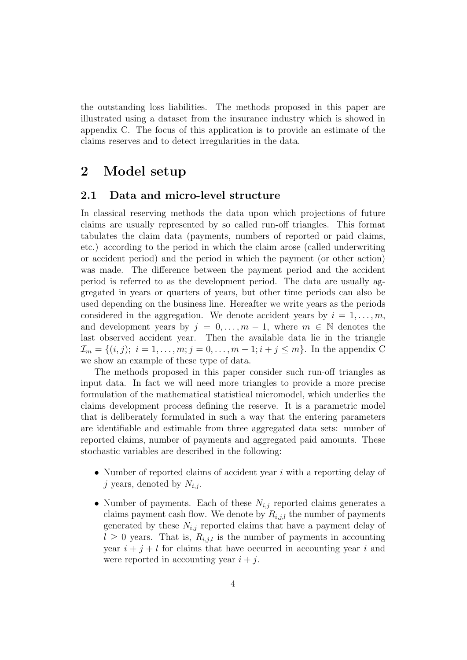the outstanding loss liabilities. The methods proposed in this paper are illustrated using a dataset from the insurance industry which is showed in appendix C. The focus of this application is to provide an estimate of the claims reserves and to detect irregularities in the data.

## 2 Model setup

#### 2.1 Data and micro-level structure

In classical reserving methods the data upon which projections of future claims are usually represented by so called run-off triangles. This format tabulates the claim data (payments, numbers of reported or paid claims, etc.) according to the period in which the claim arose (called underwriting or accident period) and the period in which the payment (or other action) was made. The difference between the payment period and the accident period is referred to as the development period. The data are usually aggregated in years or quarters of years, but other time periods can also be used depending on the business line. Hereafter we write years as the periods considered in the aggregation. We denote accident years by  $i = 1, \ldots, m$ , and development years by  $j = 0, \ldots, m-1$ , where  $m \in \mathbb{N}$  denotes the last observed accident year. Then the available data lie in the triangle  $\mathcal{I}_m = \{(i, j); i = 1, \ldots, m; j = 0, \ldots, m-1; i + j \leq m\}.$  In the appendix C we show an example of these type of data.

The methods proposed in this paper consider such run-off triangles as input data. In fact we will need more triangles to provide a more precise formulation of the mathematical statistical micromodel, which underlies the claims development process defining the reserve. It is a parametric model that is deliberately formulated in such a way that the entering parameters are identifiable and estimable from three aggregated data sets: number of reported claims, number of payments and aggregated paid amounts. These stochastic variables are described in the following:

- Number of reported claims of accident year  $i$  with a reporting delay of j years, denoted by  $N_{i,j}$ .
- Number of payments. Each of these  $N_{i,j}$  reported claims generates a claims payment cash flow. We denote by  $R_{i,j,l}$  the number of payments generated by these  $N_{i,j}$  reported claims that have a payment delay of  $l \geq 0$  years. That is,  $R_{i,j,l}$  is the number of payments in accounting year  $i + j + l$  for claims that have occurred in accounting year i and were reported in accounting year  $i + j$ .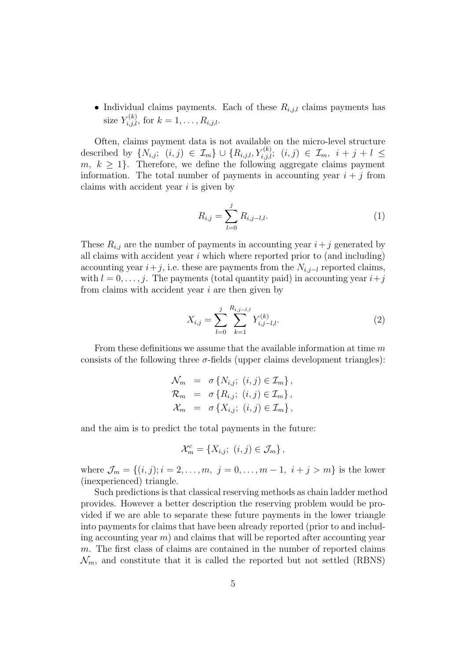• Individual claims payments. Each of these  $R_{i,j,l}$  claims payments has size  $Y_{i,j,l}^{(k)}$ , for  $k = 1, \ldots, R_{i,j,l}$ .

Often, claims payment data is not available on the micro-level structure described by  $\{N_{i,j}; (i,j) \in \mathcal{I}_m\} \cup \{R_{i,j,l}, Y_{i,j,l}^{(k)}; (i,j) \in \mathcal{I}_m, i+j+l \leq j \}$  $m, k \geq 1$ . Therefore, we define the following aggregate claims payment information. The total number of payments in accounting year  $i + j$  from claims with accident year  $i$  is given by

$$
R_{i,j} = \sum_{l=0}^{j} R_{i,j-l,l}.
$$
 (1)

These  $R_{i,j}$  are the number of payments in accounting year  $i+j$  generated by all claims with accident year  $i$  which where reported prior to (and including) accounting year  $i+j$ , i.e. these are payments from the  $N_{i,j-l}$  reported claims, with  $l = 0, \ldots, j$ . The payments (total quantity paid) in accounting year  $i+j$ from claims with accident year  $i$  are then given by

$$
X_{i,j} = \sum_{l=0}^{j} \sum_{k=1}^{R_{i,j-l,l}} Y_{i,j-l,l}^{(k)}.
$$
 (2)

From these definitions we assume that the available information at time m consists of the following three  $\sigma$ -fields (upper claims development triangles):

$$
\mathcal{N}_m = \sigma \{ N_{i,j}; (i,j) \in \mathcal{I}_m \},
$$
  
\n
$$
\mathcal{R}_m = \sigma \{ R_{i,j}; (i,j) \in \mathcal{I}_m \},
$$
  
\n
$$
\mathcal{X}_m = \sigma \{ X_{i,j}; (i,j) \in \mathcal{I}_m \},
$$

and the aim is to predict the total payments in the future:

$$
\mathcal{X}_m^c = \{X_{i,j}; (i,j) \in \mathcal{J}_m\},\
$$

where  $\mathcal{J}_m = \{(i, j); i = 2, \ldots, m, j = 0, \ldots, m - 1, i + j > m\}$  is the lower (inexperienced) triangle.

Such predictions is that classical reserving methods as chain ladder method provides. However a better description the reserving problem would be provided if we are able to separate these future payments in the lower triangle into payments for claims that have been already reported (prior to and including accounting year  $m$ ) and claims that will be reported after accounting year m. The first class of claims are contained in the number of reported claims  $\mathcal{N}_m$ , and constitute that it is called the reported but not settled (RBNS)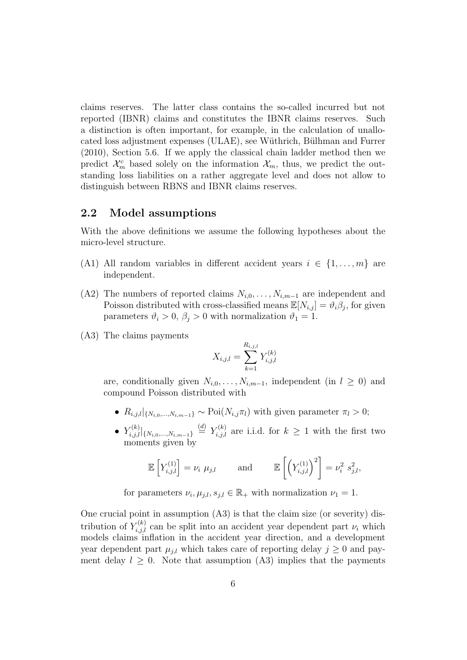claims reserves. The latter class contains the so-called incurred but not reported (IBNR) claims and constitutes the IBNR claims reserves. Such a distinction is often important, for example, in the calculation of unallocated loss adjustment expenses (ULAE), see Wüthrich, Bülhman and Furrer (2010), Section 5.6. If we apply the classical chain ladder method then we predict  $\mathcal{X}_m^c$  based solely on the information  $\mathcal{X}_m$ , thus, we predict the outstanding loss liabilities on a rather aggregate level and does not allow to distinguish between RBNS and IBNR claims reserves.

#### 2.2 Model assumptions

With the above definitions we assume the following hypotheses about the micro-level structure.

- (A1) All random variables in different accident years  $i \in \{1, \ldots, m\}$  are independent.
- (A2) The numbers of reported claims  $N_{i,0}, \ldots, N_{i,m-1}$  are independent and Poisson distributed with cross-classified means  $\mathbb{E}[N_{i,j}] = \vartheta_i \beta_j$ , for given parameters  $\vartheta_i > 0$ ,  $\beta_j > 0$  with normalization  $\vartheta_1 = 1$ .
- (A3) The claims payments

$$
X_{i,j,l} = \sum_{k=1}^{R_{i,j,l}} Y_{i,j,l}^{(k)}
$$

are, conditionally given  $N_{i,0}, \ldots, N_{i,m-1}$ , independent (in  $l \geq 0$ ) and compound Poisson distributed with

- $R_{i,j,l}|_{\{N_{i,0},...,N_{i,m-1}\}} \sim \text{Poi}(N_{i,j}\pi_l)$  with given parameter  $\pi_l > 0$ ;
- $Y_{i,j,l}^{(k)}|_{\{N_{i,0},...,N_{i,m-1}\}} \stackrel{(d)}{=} Y_{i,j,l}^{(k)}$  are i.i.d. for  $k \geq 1$  with the first two moments given by

$$
\mathbb{E}\left[Y_{i,j,l}^{(1)}\right] = \nu_i \ \mu_{j,l} \quad \text{and} \quad \mathbb{E}\left[\left(Y_{i,j,l}^{(1)}\right)^2\right] = \nu_i^2 \ s_{j,l}^2,
$$

for parameters  $\nu_i, \mu_{j,l}, s_{j,l} \in \mathbb{R}_+$  with normalization  $\nu_1 = 1$ .

One crucial point in assumption (A3) is that the claim size (or severity) distribution of  $Y_{i,j,l}^{(k)}$  can be split into an accident year dependent part  $\nu_i$  which models claims inflation in the accident year direction, and a development year dependent part  $\mu_{j,l}$  which takes care of reporting delay  $j \geq 0$  and payment delay  $l \geq 0$ . Note that assumption (A3) implies that the payments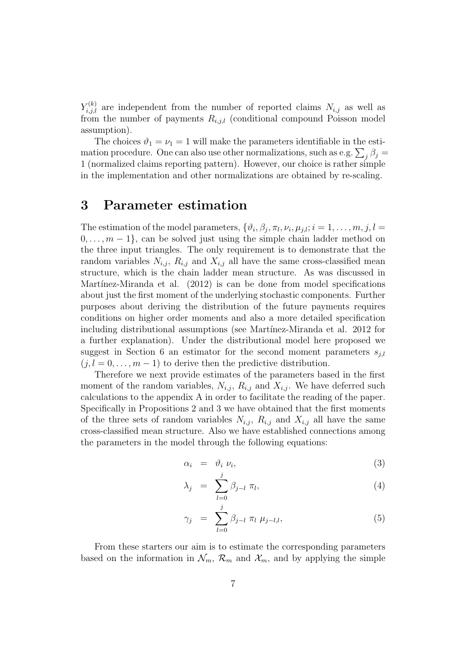$Y_{i,j,l}^{(k)}$  are independent from the number of reported claims  $N_{i,j}$  as well as from the number of payments  $R_{i,j,l}$  (conditional compound Poisson model assumption).

The choices  $\vartheta_1 = \nu_1 = 1$  will make the parameters identifiable in the estimation procedure. One can also use other normalizations, such as e.g.  $\sum_j \beta_j =$ 1 (normalized claims reporting pattern). However, our choice is rather simple in the implementation and other normalizations are obtained by re-scaling.

## 3 Parameter estimation

The estimation of the model parameters,  $\{\vartheta_i, \beta_j, \pi_l, \nu_i, \mu_{j,l}; i = 1, \ldots, m, j, l =$  $0, \ldots, m-1$ , can be solved just using the simple chain ladder method on the three input triangles. The only requirement is to demonstrate that the random variables  $N_{i,j}$ ,  $R_{i,j}$  and  $X_{i,j}$  all have the same cross-classified mean structure, which is the chain ladder mean structure. As was discussed in Martínez-Miranda et al.  $(2012)$  is can be done from model specifications about just the first moment of the underlying stochastic components. Further purposes about deriving the distribution of the future payments requires conditions on higher order moments and also a more detailed specification including distributional assumptions (see Martínez-Miranda et al. 2012 for a further explanation). Under the distributional model here proposed we suggest in Section 6 an estimator for the second moment parameters  $s_{j,l}$  $(j, l = 0, \ldots, m - 1)$  to derive then the predictive distribution.

Therefore we next provide estimates of the parameters based in the first moment of the random variables,  $N_{i,j}$ ,  $R_{i,j}$  and  $X_{i,j}$ . We have deferred such calculations to the appendix A in order to facilitate the reading of the paper. Specifically in Propositions 2 and 3 we have obtained that the first moments of the three sets of random variables  $N_{i,j}$ ,  $R_{i,j}$  and  $X_{i,j}$  all have the same cross-classified mean structure. Also we have established connections among the parameters in the model through the following equations:

$$
\alpha_i = \vartheta_i \, \nu_i,\tag{3}
$$

$$
\lambda_j = \sum_{l=0}^j \beta_{j-l} \pi_l, \tag{4}
$$

$$
\gamma_j = \sum_{l=0}^j \beta_{j-l} \; \pi_l \; \mu_{j-l,l}, \tag{5}
$$

From these starters our aim is to estimate the corresponding parameters based on the information in  $\mathcal{N}_m$ ,  $\mathcal{R}_m$  and  $\mathcal{X}_m$ , and by applying the simple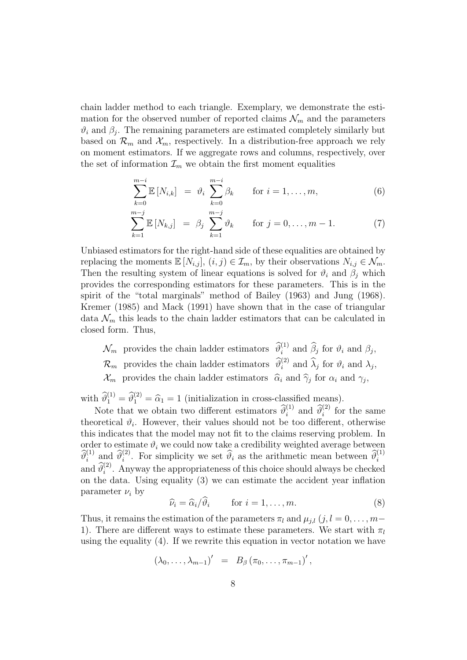chain ladder method to each triangle. Exemplary, we demonstrate the estimation for the observed number of reported claims  $\mathcal{N}_m$  and the parameters  $\vartheta_i$  and  $\beta_j$ . The remaining parameters are estimated completely similarly but based on  $\mathcal{R}_m$  and  $\mathcal{X}_m$ , respectively. In a distribution-free approach we rely on moment estimators. If we aggregate rows and columns, respectively, over the set of information  $\mathcal{I}_m$  we obtain the first moment equalities

$$
\sum_{k=0}^{m-i} \mathbb{E}\left[N_{i,k}\right] = \vartheta_i \sum_{k=0}^{m-i} \beta_k \quad \text{for } i = 1,\dots,m,
$$
 (6)

$$
\sum_{k=1}^{m-j} \mathbb{E} \left[ N_{k,j} \right] = \beta_j \sum_{k=1}^{m-j} \vartheta_k \quad \text{for } j = 0, \dots, m-1.
$$
 (7)

Unbiased estimators for the right-hand side of these equalities are obtained by replacing the moments  $\mathbb{E}[N_{i,j}], (i,j) \in \mathcal{I}_m$ , by their observations  $N_{i,j} \in \mathcal{N}_m$ . Then the resulting system of linear equations is solved for  $\vartheta_i$  and  $\beta_j$  which provides the corresponding estimators for these parameters. This is in the spirit of the "total marginals" method of Bailey (1963) and Jung (1968). Kremer (1985) and Mack (1991) have shown that in the case of triangular data  $\mathcal{N}_m$  this leads to the chain ladder estimators that can be calculated in closed form. Thus,

 $\mathcal{N}_m$  provides the chain ladder estimators  $\widehat{\theta}_i^{(1)}$  and  $\widehat{\beta}_j$  for  $\vartheta_i$  and  $\beta_j$ ,  $\mathcal{R}_m$  provides the chain ladder estimators  $\hat{\theta}_i^{(2)}$  and  $\hat{\lambda}_j$  for  $\vartheta_i$  and  $\lambda_j$ ,  $\mathcal{X}_m$  provides the chain ladder estimators  $\hat{\alpha}_i$  and  $\hat{\gamma}_j$  for  $\alpha_i$  and  $\gamma_j$ ,

with  $\widehat{\theta}_1^{(1)} = \widehat{\theta}_1^{(2)} = \widehat{\alpha}_1 = 1$  (initialization in cross-classified means).

Note that we obtain two different estimators  $\widehat{\theta}_i^{(1)}$  and  $\widehat{\theta}_i^{(2)}$  for the same theoretical  $\vartheta_i$ . However, their values should not be too different, otherwise this indicates that the model may not fit to the claims reserving problem. In order to estimate  $\vartheta_i$  we could now take a credibility weighted average between  $\widehat{\theta}_i^{(1)}$  and  $\widehat{\theta}_i^{(2)}$ . For simplicity we set  $\widehat{\theta}_i$  as the arithmetic mean between  $\widehat{\theta}_i^{(1)}$ and  $\widehat{\theta}_i^{(2)}$ . Anyway the appropriateness of this choice should always be checked on the data. Using equality (3) we can estimate the accident year inflation parameter  $\nu_i$  by

$$
\widehat{\nu}_i = \widehat{\alpha}_i / \widehat{\vartheta}_i \qquad \text{for } i = 1, \dots, m. \tag{8}
$$

Thus, it remains the estimation of the parameters  $\pi_l$  and  $\mu_{i,l}$  (j, l = 0, ..., m− 1). There are different ways to estimate these parameters. We start with  $\pi_l$ using the equality  $(4)$ . If we rewrite this equation in vector notation we have

$$
(\lambda_0,\ldots,\lambda_{m-1})' = B_\beta(\pi_0,\ldots,\pi_{m-1})',
$$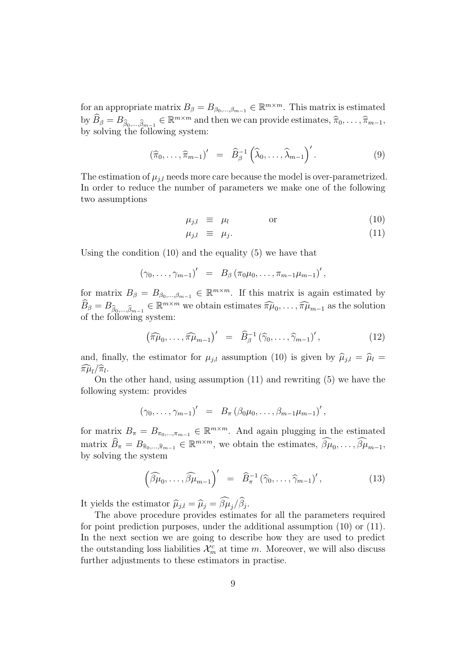for an appropriate matrix  $B_{\beta} = B_{\beta_0,\dots,\beta_{m-1}} \in \mathbb{R}^{m \times m}$ . This matrix is estimated by  $\widehat{B}_{\beta} = B_{\widehat{\beta}_0, ..., \widehat{\beta}_{m-1}} \in \mathbb{R}^{m \times m}$  and then we can provide estimates,  $\widehat{\pi}_0, \ldots, \widehat{\pi}_{m-1}$ ,<br>by solving the following system: by solving the following system:

$$
(\widehat{\pi}_0,\ldots,\widehat{\pi}_{m-1})' = \widehat{B}_{\beta}^{-1} (\widehat{\lambda}_0,\ldots,\widehat{\lambda}_{m-1})'.
$$
 (9)

The estimation of  $\mu_{i,l}$  needs more care because the model is over-parametrized. In order to reduce the number of parameters we make one of the following two assumptions

$$
\mu_{j,l} \equiv \mu_l \qquad \text{or} \qquad \qquad (10)
$$

$$
\mu_{j,l} \equiv \mu_j. \tag{11}
$$

Using the condition (10) and the equality (5) we have that

$$
(\gamma_0, \ldots, \gamma_{m-1})' = B_{\beta} (\pi_0 \mu_0, \ldots, \pi_{m-1} \mu_{m-1})',
$$

for matrix  $B_{\beta} = B_{\beta_0,\dots,\beta_{m-1}} \in \mathbb{R}^{m \times m}$ . If this matrix is again estimated by  $\widehat{B}_{\beta} = B_{\widehat{\beta}_0, ..., \widehat{\beta}_{m-1}} \in \mathbb{R}^{m \times m}$  we obtain estimates  $\widehat{\pi\mu}_0, \ldots, \widehat{\pi}\widehat{\mu}_{m-1}$  as the solution of the following system: of the following system:

$$
\left(\widehat{\pi\mu}_0,\ldots,\widehat{\pi\mu}_{m-1}\right)' = \widehat{B}_{\beta}^{-1} \left(\widehat{\gamma}_0,\ldots,\widehat{\gamma}_{m-1}\right)',\tag{12}
$$

and, finally, the estimator for  $\mu_{j,l}$  assumption (10) is given by  $\hat{\mu}_{j,l} = \hat{\mu}_l =$  $\widehat{\pi \mu}_l / \widehat{\pi}_l.$ 

On the other hand, using assumption (11) and rewriting (5) we have the following system: provides

$$
(\gamma_0, \ldots, \gamma_{m-1})' = B_{\pi} (\beta_0 \mu_0, \ldots, \beta_{m-1} \mu_{m-1})',
$$

for matrix  $B_{\pi} = B_{\pi_0,\dots,\pi_{m-1}} \in \mathbb{R}^{m \times m}$ . And again plugging in the estimated matrix  $\widehat{B}_{\pi} = B_{\widehat{\pi}_0, \dots, \widehat{\pi}_{m-1}} \in \mathbb{R}^{m \times m}$ , we obtain the estimates,  $\widehat{\beta}\mu_0, \dots, \widehat{\beta}\mu_{m-1}$ , by solving the system

$$
\left(\widehat{\beta\mu}_0,\ldots,\widehat{\beta\mu}_{m-1}\right)' = \widehat{B}_{\pi}^{-1} \left(\widehat{\gamma}_0,\ldots,\widehat{\gamma}_{m-1}\right)',\tag{13}
$$

It yields the estimator  $\hat{\mu}_{j,l} = \hat{\mu}_j = \beta \mu_j / \beta_j$ .<br>The above procedure provides estimate

The above procedure provides estimates for all the parameters required for point prediction purposes, under the additional assumption (10) or (11). In the next section we are going to describe how they are used to predict the outstanding loss liabilities  $\mathcal{X}_m^c$  at time m. Moreover, we will also discuss further adjustments to these estimators in practise.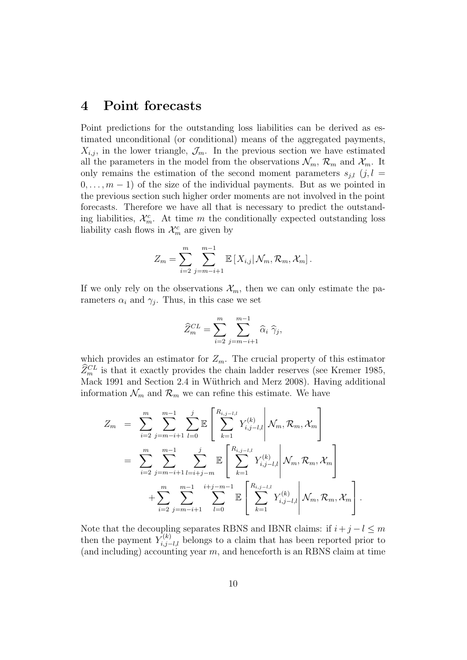#### 4 Point forecasts

Point predictions for the outstanding loss liabilities can be derived as estimated unconditional (or conditional) means of the aggregated payments,  $X_{i,j}$ , in the lower triangle,  $\mathcal{J}_m$ . In the previous section we have estimated all the parameters in the model from the observations  $\mathcal{N}_m$ ,  $\mathcal{R}_m$  and  $\mathcal{X}_m$ . It only remains the estimation of the second moment parameters  $s_{i,l}$  (j, l =  $0, \ldots, m-1$  of the size of the individual payments. But as we pointed in the previous section such higher order moments are not involved in the point forecasts. Therefore we have all that is necessary to predict the outstanding liabilities,  $\mathcal{X}_{m}^{c}$ . At time m the conditionally expected outstanding loss liability cash flows in  $\mathcal{X}_m^c$  are given by

$$
Z_m = \sum_{i=2}^m \sum_{j=m-i+1}^{m-1} \mathbb{E}\left[X_{i,j} | \mathcal{N}_m, \mathcal{R}_m, \mathcal{X}_m\right].
$$

If we only rely on the observations  $\mathcal{X}_m$ , then we can only estimate the parameters  $\alpha_i$  and  $\gamma_j$ . Thus, in this case we set

$$
\widehat{Z}_m^{CL} = \sum_{i=2}^m \sum_{j=m-i+1}^{m-1} \widehat{\alpha}_i \widehat{\gamma}_j,
$$

which provides an estimator for  $Z_m$ . The crucial property of this estimator  $\widehat{Z}_m^{CL}$  is that it exactly provides the chain ladder reserves (see Kremer 1985, Mack 1991 and Section 2.4 in Wüthrich and Merz 2008). Having additional information  $\mathcal{N}_m$  and  $\mathcal{R}_m$  we can refine this estimate. We have

$$
Z_m = \sum_{i=2}^m \sum_{j=m-i+1}^{m-1} \sum_{l=0}^j \mathbb{E} \left[ \sum_{k=1}^{R_{i,j-l,l}} Y_{i,j-l,l}^{(k)} \middle| \mathcal{N}_m, \mathcal{R}_m, \mathcal{X}_m \right]
$$
  

$$
= \sum_{i=2}^m \sum_{j=m-i+1}^{m-1} \sum_{l=i+j-m}^j \mathbb{E} \left[ \sum_{k=1}^{R_{i,j-l,l}} Y_{i,j-l,l}^{(k)} \middle| \mathcal{N}_m, \mathcal{R}_m, \mathcal{X}_m \right]
$$
  

$$
+ \sum_{i=2}^m \sum_{j=m-i+1}^{m-1} \sum_{l=0}^{i+j-m-1} \mathbb{E} \left[ \sum_{k=1}^{R_{i,j-l,l}} Y_{i,j-l,l}^{(k)} \middle| \mathcal{N}_m, \mathcal{R}_m, \mathcal{X}_m \right].
$$

Note that the decoupling separates RBNS and IBNR claims: if  $i + j - l \leq m$ then the payment  $Y_{i,j-l,l}^{(k)}$  belongs to a claim that has been reported prior to (and including) accounting year  $m$ , and henceforth is an RBNS claim at time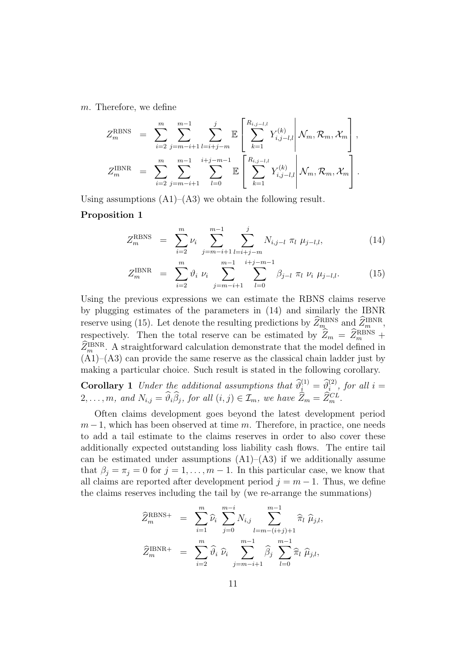m. Therefore, we define

$$
Z_m^{\text{RBNS}} = \sum_{i=2}^m \sum_{j=m-i+1}^{m-1} \sum_{l=i+j-m}^j \mathbb{E} \left[ \sum_{k=1}^{R_{i,j-l,l}} Y_{i,j-l,l}^{(k)} \middle| \mathcal{N}_m, \mathcal{R}_m, \mathcal{X}_m \right],
$$
  

$$
Z_m^{\text{IBNR}} = \sum_{i=2}^m \sum_{j=m-i+1}^{m-1} \sum_{l=0}^{i+j-m-1} \mathbb{E} \left[ \sum_{k=1}^{R_{i,j-l,l}} Y_{i,j-l,l}^{(k)} \middle| \mathcal{N}_m, \mathcal{R}_m, \mathcal{X}_m \right].
$$

Using assumptions  $(A1)$ – $(A3)$  we obtain the following result.

#### Proposition 1

$$
Z_m^{\text{RBNS}} = \sum_{i=2}^m \nu_i \sum_{j=m-i+1}^{m-1} \sum_{l=i+j-m}^j N_{i,j-l} \pi_l \mu_{j-l,l}, \qquad (14)
$$

$$
Z_m^{\text{IBNR}} = \sum_{i=2}^m \vartheta_i \ \nu_i \sum_{j=m-i+1}^{m-1} \sum_{l=0}^{i+j-m-1} \beta_{j-l} \ \pi_l \ \nu_i \ \mu_{j-l,l}.
$$
 (15)

Using the previous expressions we can estimate the RBNS claims reserve by plugging estimates of the parameters in (14) and similarly the IBNR reserve using (15). Let denote the resulting predictions by  $Z_{m}^{\text{RBNS}}$  and  $Z_{m}^{\text{IBNR}}$ , respectively. Then the total reserve can be estimated by  $\widetilde{Z}_m = \widetilde{Z}_m^{\text{RBNS}} + \widetilde{Z}_m^{\text{RBNS}}$  $\widehat{Z}_m^{\text{IBNR}}$ . A straightforward calculation demonstrate that the model defined in  $(A1)$ – $(A3)$  can provide the same reserve as the classical chain ladder just by making a particular choice. Such result is stated in the following corollary.

**Corollary 1** Under the additional assumptions that  $\widehat{\theta}_{i}^{(1)} = \widehat{\theta}_{i}^{(2)}$ , for all  $i =$  $2, \ldots, m$ , and  $N_{i,j} = \hat{\vartheta}_i \hat{\beta}_j$ , for all  $(i, j) \in \mathcal{I}_m$ , we have  $\widehat{Z}_m = \widehat{Z}_m^{CL}$ .

Often claims development goes beyond the latest development period  $m-1$ , which has been observed at time m. Therefore, in practice, one needs to add a tail estimate to the claims reserves in order to also cover these additionally expected outstanding loss liability cash flows. The entire tail can be estimated under assumptions  $(A1)$ – $(A3)$  if we additionally assume that  $\beta_j = \pi_j = 0$  for  $j = 1, \ldots, m - 1$ . In this particular case, we know that all claims are reported after development period  $j = m - 1$ . Thus, we define the claims reserves including the tail by (we re-arrange the summations)

$$
\widehat{Z}_{m}^{\text{RBNS+}} = \sum_{i=1}^{m} \widehat{\nu}_{i} \sum_{j=0}^{m-i} N_{i,j} \sum_{l=m-(i+j)+1}^{m-1} \widehat{\pi}_{l} \widehat{\mu}_{j,l},
$$
  

$$
\widehat{Z}_{m}^{\text{IBNR+}} = \sum_{i=2}^{m} \widehat{\vartheta}_{i} \widehat{\nu}_{i} \sum_{j=m-i+1}^{m-1} \widehat{\beta}_{j} \sum_{l=0}^{m-1} \widehat{\pi}_{l} \widehat{\mu}_{j,l},
$$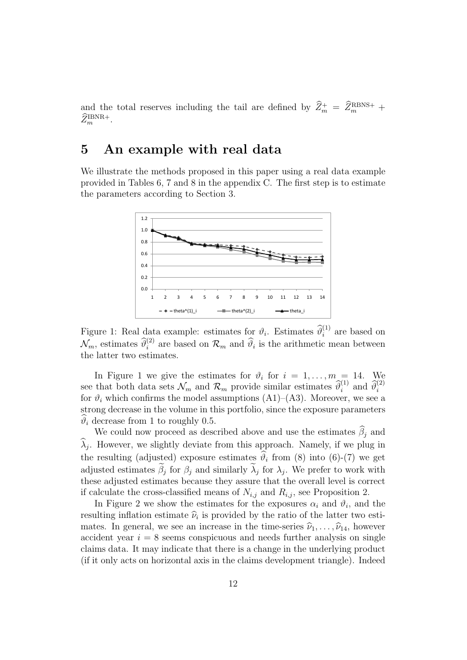and the total reserves including the tail are defined by  $\hat{Z}_m^+ = \hat{Z}_m^{\text{RBNS+}} + \hat{Z}_{m}^{\text{DNN+}}$  $\widehat{Z}_m^{\mathrm{IBNR+}}$ .

#### 5 An example with real data

We illustrate the methods proposed in this paper using a real data example provided in Tables 6, 7 and 8 in the appendix C. The first step is to estimate the parameters according to Section 3.



Figure 1: Real data example: estimates for  $\vartheta_i$ . Estimates  $\widehat{\vartheta}_i^{(1)}$  are based on  $\mathcal{N}_m$ , estimates  $\widehat{\theta}_i^{(2)}$  are based on  $\mathcal{R}_m$  and  $\widehat{\theta}_i$  is the arithmetic mean between the latter two estimates.

In Figure 1 we give the estimates for  $\vartheta_i$  for  $i = 1, \ldots, m = 14$ . We see that both data sets  $\mathcal{N}_m$  and  $\mathcal{R}_m$  provide similar estimates  $\widehat{\theta}_i^{(1)}$  and  $\widehat{\theta}_i^{(2)}$ for  $\vartheta_i$  which confirms the model assumptions (A1)–(A3). Moreover, we see a strong decrease in the volume in this portfolio, since the exposure parameters  $\widehat{\vartheta}_i$  decrease from 1 to roughly 0.5.

We could now proceed as described above and use the estimates  $\beta_i$  and  $\lambda_j$ . However, we slightly deviate from this approach. Namely, if we plug in the resulting (adjusted) exposure estimates  $\vartheta_i$  from (8) into (6)-(7) we get adjusted estimates  $\beta_j$  for  $\beta_j$  and similarly  $\lambda_j$  for  $\lambda_j$ . We prefer to work with these adjusted estimates because they assure that the overall level is correct if calculate the cross-classified means of  $N_{i,j}$  and  $R_{i,j}$ , see Proposition 2.

In Figure 2 we show the estimates for the exposures  $\alpha_i$  and  $\vartheta_i$ , and the resulting inflation estimate  $\hat{\nu}_i$  is provided by the ratio of the latter two esti-<br>mates. In sonoral, we see an increase in the time series  $\hat{\nu}_i$  is a however mates. In general, we see an increase in the time-series  $\hat{\nu}_1, \ldots, \hat{\nu}_{14}$ , however accident year  $i = 8$  seems conspicuous and needs further analysis on single claims data. It may indicate that there is a change in the underlying product (if it only acts on horizontal axis in the claims development triangle). Indeed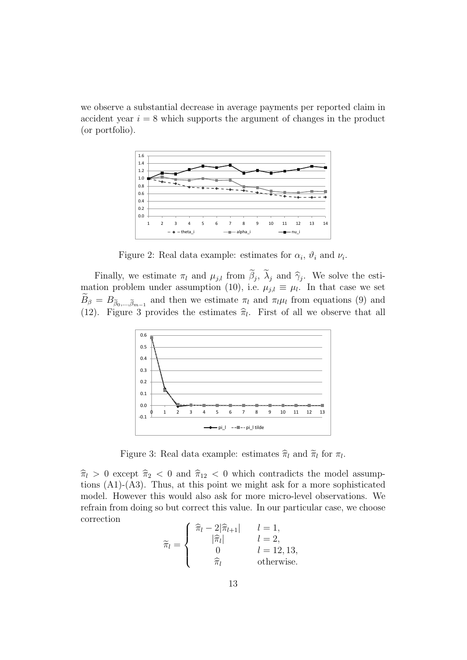we observe a substantial decrease in average payments per reported claim in accident year  $i = 8$  which supports the argument of changes in the product (or portfolio).



Figure 2: Real data example: estimates for  $\alpha_i$ ,  $\vartheta_i$  and  $\nu_i$ .

Finally, we estimate  $\pi_l$  and  $\mu_{j,l}$  from  $\beta_j$ ,  $\lambda_j$  and  $\hat{\gamma}_j$ . We solve the esti-<br>tion problem under assumption (10) i.e.  $\mu_{j,l} = \mu_l$ . In that case we set mation problem under assumption (10), i.e.  $\mu_{j,l} \equiv \mu_l$ . In that case we set  $B_{\beta} = B_{\tilde{\beta}_0,\dots,\tilde{\beta}_{m-1}}$  and then we estimate  $\pi_l$  and  $\pi_l\mu_l$  from equations (9) and (12). Figure 3 provides the estimates  $\hat{\pi}_l$ . First of all we observe that all



Figure 3: Real data example: estimates  $\hat{\pi}_l$  and  $\tilde{\pi}_l$  for  $\pi_l$ .

 $\hat{\pi}_{l} > 0$  except  $\hat{\pi}_{2} < 0$  and  $\hat{\pi}_{12} < 0$  which contradicts the model assumptions (A1)-(A3). Thus, at this point we might ask for a more sophisticated model. However this would also ask for more micro-level observations. We refrain from doing so but correct this value. In our particular case, we choose correction

$$
\widetilde{\pi}_l = \begin{cases}\n\widehat{\pi}_l - 2|\widehat{\pi}_{l+1}| & l = 1, \\
|\widehat{\pi}_l| & l = 2, \\
0 & l = 12, 13, \\
\widehat{\pi}_l & \text{otherwise.} \n\end{cases}
$$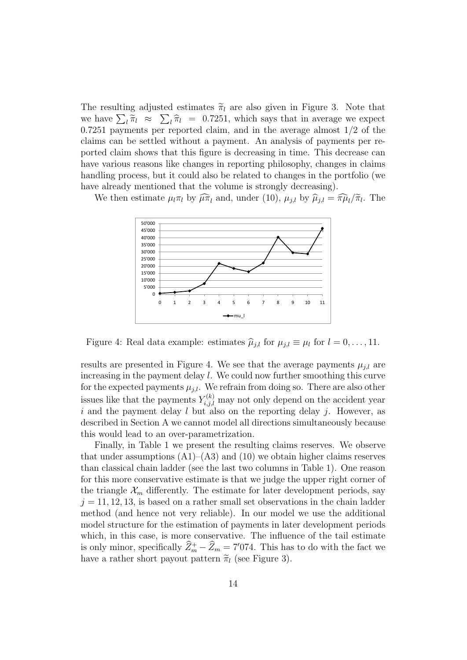The resulting adjusted estimates  $\tilde{\pi}_l$  are also given in Figure 3. Note that we have  $\sum_l \tilde{\pi}_l \approx \sum_l \tilde{\pi}_l = 0.7251$ , which says that in average we expect<br>0.7251 payments per reported claim, and in the average almost 1/2 of the 0.7251 payments per reported claim, and in the average almost 1/2 of the claims can be settled without a payment. An analysis of payments per reported claim shows that this figure is decreasing in time. This decrease can have various reasons like changes in reporting philosophy, changes in claims handling process, but it could also be related to changes in the portfolio (we have already mentioned that the volume is strongly decreasing).

We then estimate  $\mu_l \pi_l$  by  $\widehat{\mu} \pi_l$  and, under (10),  $\mu_{j,l}$  by  $\widehat{\mu}_{j,l} = \widehat{\pi} \mu_l / \widetilde{\pi}_l$ . The



Figure 4: Real data example: estimates  $\hat{\mu}_{j,l}$  for  $\mu_{j,l} \equiv \mu_l$  for  $l = 0, \ldots, 11$ .

results are presented in Figure 4. We see that the average payments  $\mu_{i,l}$  are increasing in the payment delay l. We could now further smoothing this curve for the expected payments  $\mu_{i,l}$ . We refrain from doing so. There are also other issues like that the payments  $Y_{i,j,l}^{(k)}$  may not only depend on the accident year i and the payment delay  $l$  but also on the reporting delay  $j$ . However, as described in Section A we cannot model all directions simultaneously because this would lead to an over-parametrization.

Finally, in Table 1 we present the resulting claims reserves. We observe that under assumptions  $(A1)$ – $(A3)$  and  $(10)$  we obtain higher claims reserves than classical chain ladder (see the last two columns in Table 1). One reason for this more conservative estimate is that we judge the upper right corner of the triangle  $\mathcal{X}_m$  differently. The estimate for later development periods, say  $j = 11, 12, 13$ , is based on a rather small set observations in the chain ladder method (and hence not very reliable). In our model we use the additional model structure for the estimation of payments in later development periods which, in this case, is more conservative. The influence of the tail estimate is only minor, specifically  $\overline{Z}_m^+ - \overline{Z}_m = 7'074$ . This has to do with the fact we have a rather short payout pattern  $\tilde{\pi}_l$  (see Figure 3).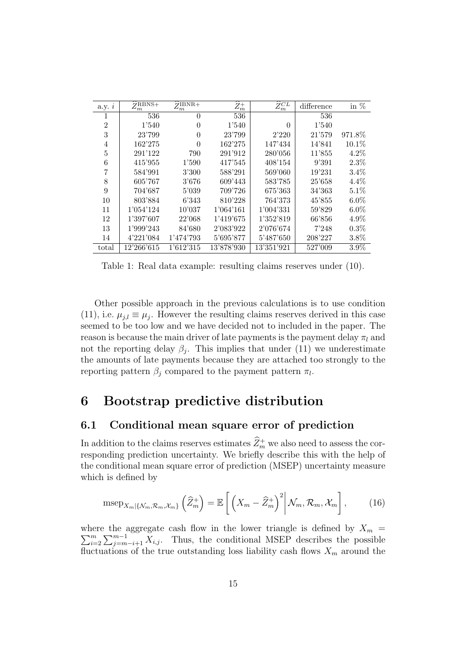| a.y. $i$       | $\widehat{\sigma}$ RBNS+<br>$\omega_m$ | $\widehat{Z}$ IBNR+<br>$\omega_m$ | $\widehat{Z_m^+}$ | $\widehat{Z}_m^{CL}$ | difference | in $%$  |
|----------------|----------------------------------------|-----------------------------------|-------------------|----------------------|------------|---------|
| 1              | 536                                    | $\theta$                          | 536               |                      | 536        |         |
| $\overline{2}$ | 1'540                                  | $\theta$                          | 1'540             | $\theta$             | 1'540      |         |
| 3              | 23'799                                 | $\theta$                          | 23'799            | 2'220                | 21'579     | 971.8%  |
| 4              | 162'275                                | $\theta$                          | 162'275           | 147'434              | 14'841     | 10.1%   |
| 5              | 291'122                                | 790                               | 291'912           | 280'056              | 11'855     | $4.2\%$ |
| 6              | 415'955                                | 1'590                             | 417'545           | 408'154              | 9'391      | 2.3%    |
|                | 584'991                                | 3'300                             | 588'291           | 569'060              | 19'231     | 3.4%    |
| 8              | 605'767                                | 3'676                             | 609'443           | 583'785              | 25'658     | 4.4%    |
| 9              | 704'687                                | 5'039                             | 709'726           | 675'363              | 34'363     | 5.1%    |
| 10             | 803'884                                | 6'343                             | 810'228           | 764'373              | 45'855     | $6.0\%$ |
| 11             | 1'054'124                              | 10'037                            | 1'064'161         | 1'004'331            | 59'829     | $6.0\%$ |
| 12             | 1'397'607                              | 22'068                            | 1'419'675         | 1'352'819            | 66'856     | $4.9\%$ |
| 13             | 1'999'243                              | 84'680                            | 2'083'922         | 2'076'674            | 7'248      | $0.3\%$ |
| 14             | 4'221'084                              | 1'474'793                         | 5'695'877         | 5'487'650            | 208'227    | $3.8\%$ |
| total          | 12'266'615                             | 1'612'315                         | 13'878'930        | 13'351'921           | 527'009    | $3.9\%$ |

Table 1: Real data example: resulting claims reserves under (10).

Other possible approach in the previous calculations is to use condition (11), i.e.  $\mu_{j,l} \equiv \mu_j$ . However the resulting claims reserves derived in this case seemed to be too low and we have decided not to included in the paper. The reason is because the main driver of late payments is the payment delay  $\pi_l$  and not the reporting delay  $\beta_j$ . This implies that under (11) we underestimate the amounts of late payments because they are attached too strongly to the reporting pattern  $\beta_j$  compared to the payment pattern  $\pi_l$ .

## 6 Bootstrap predictive distribution

#### 6.1 Conditional mean square error of prediction

In addition to the claims reserves estimates  $\hat{Z}_m^+$  we also need to assess the corresponding prediction uncertainty. We briefly describe this with the help of the conditional mean square error of prediction (MSEP) uncertainty measure which is defined by

$$
\mathrm{mse}_{X_m|\{\mathcal{N}_m, \mathcal{R}_m, \mathcal{X}_m\}}\left(\widehat{Z}_m^+\right) = \mathbb{E}\left[\left(X_m - \widehat{Z}_m^+\right)^2 \middle| \mathcal{N}_m, \mathcal{R}_m, \mathcal{X}_m\right],\tag{16}
$$

where the aggregate cash flow in the lower triangle is defined by  $X_m =$  $\sum_{i=1}^{m}$  $\sum_{i=2}^{m} \sum_{j=m-i+1}^{m-1} X_{i,j}$ . Thus, the conditional MSEP describes the possible fluctuations of the true outstanding loss liability cash flows  $X_m$  around the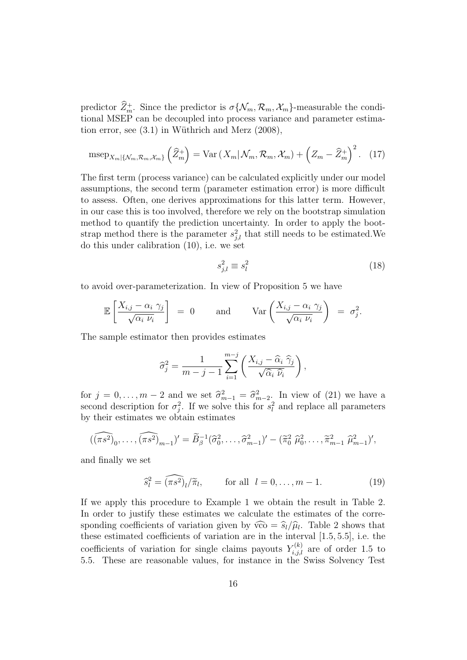predictor  $Z_m^+$ . Since the predictor is  $\sigma\{\mathcal{N}_m, \mathcal{R}_m, \mathcal{X}_m\}$ -measurable the conditional MSEP can be decoupled into process variance and parameter estimation error, see  $(3.1)$  in Wüthrich and Merz  $(2008)$ ,

$$
\mathrm{mse}_{X_m | \{ \mathcal{N}_m, \mathcal{R}_m, \mathcal{X}_m \}} \left( \widehat{Z}_m^+ \right) = \mathrm{Var} \left( X_m | \mathcal{N}_m, \mathcal{R}_m, \mathcal{X}_m \right) + \left( Z_m - \widehat{Z}_m^+ \right)^2. \tag{17}
$$

The first term (process variance) can be calculated explicitly under our model assumptions, the second term (parameter estimation error) is more difficult to assess. Often, one derives approximations for this latter term. However, in our case this is too involved, therefore we rely on the bootstrap simulation method to quantify the prediction uncertainty. In order to apply the bootstrap method there is the parameter  $s_{j,l}^2$  that still needs to be estimated. We do this under calibration (10), i.e. we set

$$
s_{j,l}^2 \equiv s_l^2 \tag{18}
$$

to avoid over-parameterization. In view of Proposition 5 we have

$$
\mathbb{E}\left[\frac{X_{i,j}-\alpha_i \gamma_j}{\sqrt{\alpha_i \nu_i}}\right] = 0 \quad \text{and} \quad \text{Var}\left(\frac{X_{i,j}-\alpha_i \gamma_j}{\sqrt{\alpha_i \nu_i}}\right) = \sigma_j^2.
$$

The sample estimator then provides estimates

$$
\widehat{\sigma}_j^2 = \frac{1}{m-j-1} \sum_{i=1}^{m-j} \left( \frac{X_{i,j} - \widehat{\alpha}_i \ \widehat{\gamma}_j}{\sqrt{\widehat{\alpha}_i \ \widehat{\nu}_i}} \right),
$$

for  $j = 0, ..., m-2$  and we set  $\hat{\sigma}_{m-1}^2 = \hat{\sigma}_{m-2}^2$ . In view of (21) we have a second description for  $\sigma^2$ . If we solve this for  $c^2$  and replace all parameters second description for  $\sigma_j^2$ . If we solve this for  $s_l^2$  and replace all parameters by their estimates we obtain estimates

$$
(\widehat{(\pi s^2)}_0,\ldots,\widehat{(\pi s^2)}_{m-1})'=\widetilde{B}_{\beta}^{-1}(\widehat{\sigma}_0^2,\ldots,\widehat{\sigma}_{m-1}^2)'-(\widetilde{\pi}_0^2 \widehat{\mu}_0^2,\ldots,\widetilde{\pi}_{m-1}^2 \widehat{\mu}_{m-1}^2)',
$$

and finally we set

$$
\widehat{s}_l^2 = \widehat{(\pi s^2)}_l / \widetilde{\pi}_l, \qquad \text{for all } l = 0, \dots, m - 1.
$$
 (19)

If we apply this procedure to Example 1 we obtain the result in Table 2. In order to justify these estimates we calculate the estimates of the corresponding coefficients of variation given by  $\widehat{vco} = \widehat{s}_l/\widehat{\mu}_l$ . Table 2 shows that these estimated coefficients of variation are in the interval [1,5, 5,5], i.e., the these estimated coefficients of variation are in the interval [1.5, 5.5], i.e. the coefficients of variation for single claims payouts  $Y_{i,j,l}^{(k)}$  are of order 1.5 to 5.5. These are reasonable values, for instance in the Swiss Solvency Test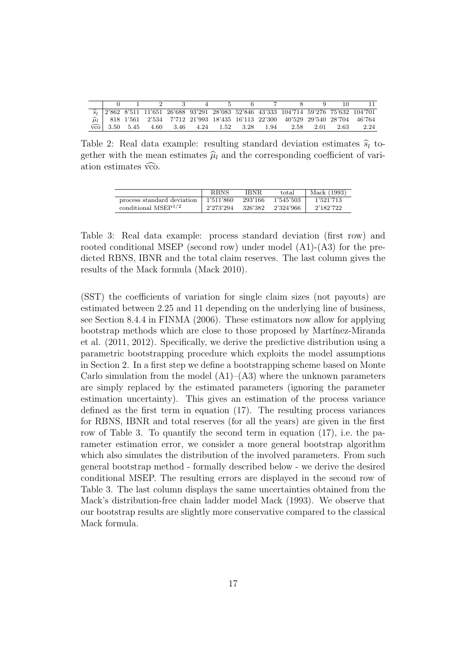| $\overline{\widehat{s}_{1}} \quad 2'862 \quad 8'511 \quad 11'651 \quad 26'688 \quad 93'291 \quad 28'083 \quad 52'846 \quad 43'333 \quad 104'714 \quad 59'276 \quad 75'632 \quad 104'701$                                                                              |  |
|-----------------------------------------------------------------------------------------------------------------------------------------------------------------------------------------------------------------------------------------------------------------------|--|
|                                                                                                                                                                                                                                                                       |  |
| $\widehat{\mu}_l \begin{array}{l} \widehat{\mu}_l \\ \widehat{\text{vco}} \end{array} \begin{array}{l} 818 \ \ 1'561 \ \ 2'534 \ \ 7'712 \ \ 21'993 \ \ 18'435 \ \ 16'113 \ \ 22'300 \ \ 40'529 \ \ 29'540 \ \ 28'704 \ \ 46'764 \\ \widehat{\text{vco}} \end{array}$ |  |
|                                                                                                                                                                                                                                                                       |  |

Table 2: Real data example: resulting standard deviation estimates  $\hat{s}_l$  together with the mean estimates  $\hat{\mu}_l$  and the corresponding coefficient of variation estimates  $\widehat{vco}$ .

|                            | <b>RBNS</b> | IBNR.   | total     | Mack (1993) |
|----------------------------|-------------|---------|-----------|-------------|
| process standard deviation | 1'511'860   | 293'166 | 1'545'503 | 1'521'713   |
| conditional $MSEP^{1/2}$   | 2'273'294   | 326'382 | 2'324'966 | 2'182'722   |

Table 3: Real data example: process standard deviation (first row) and rooted conditional MSEP (second row) under model (A1)-(A3) for the predicted RBNS, IBNR and the total claim reserves. The last column gives the results of the Mack formula (Mack 2010).

(SST) the coefficients of variation for single claim sizes (not payouts) are estimated between 2.25 and 11 depending on the underlying line of business, see Section 8.4.4 in FINMA (2006). These estimators now allow for applying bootstrap methods which are close to those proposed by Martínez-Miranda et al. (2011, 2012). Specifically, we derive the predictive distribution using a parametric bootstrapping procedure which exploits the model assumptions in Section 2. In a first step we define a bootstrapping scheme based on Monte Carlo simulation from the model  $(A1)$ – $(A3)$  where the unknown parameters are simply replaced by the estimated parameters (ignoring the parameter estimation uncertainty). This gives an estimation of the process variance defined as the first term in equation (17). The resulting process variances for RBNS, IBNR and total reserves (for all the years) are given in the first row of Table 3. To quantify the second term in equation (17), i.e. the parameter estimation error, we consider a more general bootstrap algorithm which also simulates the distribution of the involved parameters. From such general bootstrap method - formally described below - we derive the desired conditional MSEP. The resulting errors are displayed in the second row of Table 3. The last column displays the same uncertainties obtained from the Mack's distribution-free chain ladder model Mack (1993). We observe that our bootstrap results are slightly more conservative compared to the classical Mack formula.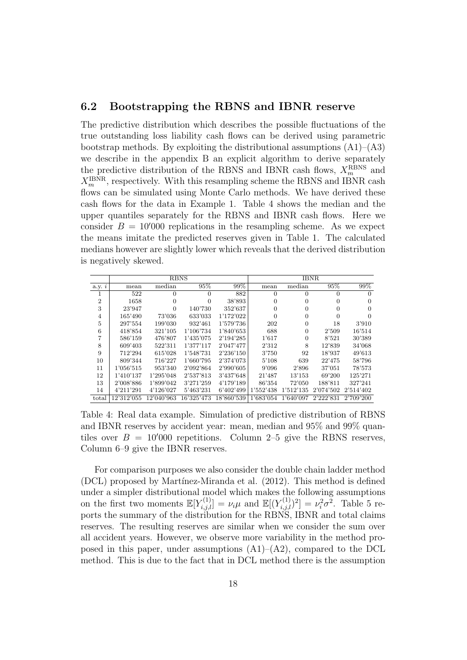#### 6.2 Bootstrapping the RBNS and IBNR reserve

The predictive distribution which describes the possible fluctuations of the true outstanding loss liability cash flows can be derived using parametric bootstrap methods. By exploiting the distributional assumptions  $(A1)$ – $(A3)$ we describe in the appendix B an explicit algorithm to derive separately the predictive distribution of the RBNS and IBNR cash flows,  $X_m^{\text{R BNS}}$  and  $X_m^{\text{IBNR}}$ , respectively. With this resampling scheme the RBNS and IBNR cash flows can be simulated using Monte Carlo methods. We have derived these cash flows for the data in Example 1. Table 4 shows the median and the upper quantiles separately for the RBNS and IBNR cash flows. Here we consider  $B = 10'000$  replications in the resampling scheme. As we expect the means imitate the predicted reserves given in Table 1. The calculated medians however are slightly lower which reveals that the derived distribution is negatively skewed.

|                |            |            | <b>RBNS</b> |            |           | <b>IBNR</b> |           |           |
|----------------|------------|------------|-------------|------------|-----------|-------------|-----------|-----------|
| a.y. i         | mean       | median     | 95%         | 99%        | mean      | median      | 95%       | 99%       |
| <b>I</b>       | 522        | $\theta$   | $\Omega$    | 882        | $\Omega$  | 0           | 0         | $\theta$  |
| $\overline{2}$ | 1658       | 0          | $\Omega$    | 38'893     | $\Omega$  | $\theta$    | 0         | $\Omega$  |
| 3              | 23'947     | $\Omega$   | 140'730     | 352'637    | $\Omega$  | $\Omega$    | 0         | $\Omega$  |
| $\overline{4}$ | 165'490    | 73'036     | 633'033     | 1'172'022  | $\Omega$  | $\Omega$    | 0         | $\Omega$  |
| 5              | 297'554    | 199'030    | 932'461     | 1'579'736  | 202       | $\Omega$    | 18        | 3'910     |
| 6              | 418'854    | 321'105    | 1'106'734   | 1'840'653  | 688       | $\Omega$    | 2'509     | 16'514    |
| 7              | 586'159    | 476'807    | 1'435'075   | 2'194'285  | 1'617     | $\Omega$    | 8'521     | 30'389    |
| 8              | 609'403    | 522'311    | 1'377'117   | 2'047'477  | 2'312     | 8           | 12'839    | 34'068    |
| 9              | 712'294    | 615'028    | 1'548'731   | 2'236'150  | 3'750     | 92          | 18'937    | 49'613    |
| 10             | 809'344    | 716'227    | 1'660'795   | 2'374'073  | 5'108     | 639         | 22'475    | 58'796    |
| 11             | 1'056'515  | 953'340    | 2'092'864   | 2'990'605  | 9'096     | 2'896       | 37'051    | 78'573    |
| 12             | 1'410'137  | 1'295'048  | 2'537'813   | 3'437'648  | 21'487    | 13'153      | 69'200    | 125'271   |
| 13             | 2'008'886  | 1'899'042  | 3'271'259   | 4'179'189  | 86'354    | 72'050      | 188'811   | 327'241   |
| 14             | 4'211'291  | 4'126'027  | 5'463'231   | 6'402'499  | 1'552'438 | 1'512'135   | 2'074'502 | 2'514'402 |
| total          | 12'312'055 | 12'040'963 | 16'325'473  | 18'860'539 | 1'683'054 | 1'640'097   | 2'222'831 | 2'709'200 |

Table 4: Real data example. Simulation of predictive distribution of RBNS and IBNR reserves by accident year: mean, median and 95% and 99% quantiles over  $B = 10'000$  repetitions. Column 2–5 give the RBNS reserves, Column 6–9 give the IBNR reserves.

For comparison purposes we also consider the double chain ladder method (DCL) proposed by Martínez-Miranda et al. (2012). This method is defined under a simpler distributional model which makes the following assumptions on the first two moments  $\mathbb{E}[Y_{i,j,l}^{(1)}] = \nu_i \mu$  and  $\mathbb{E}[(Y_{i,j,l}^{(1)})^2] = \nu_i^2 \sigma^2$ . Table 5 reports the summary of the distribution for the RBNS, IBNR and total claims reserves. The resulting reserves are similar when we consider the sum over all accident years. However, we observe more variability in the method proposed in this paper, under assumptions  $(A1)$ – $(A2)$ , compared to the DCL method. This is due to the fact that in DCL method there is the assumption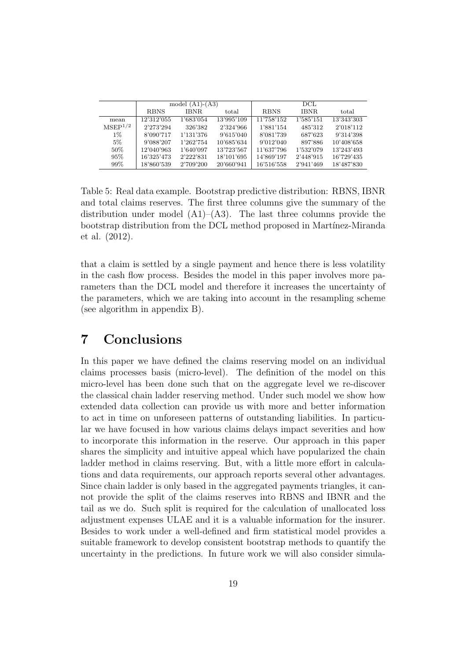|                     |             | model $(A1)-(A3)$ |            | DCL.        |             |            |  |  |  |
|---------------------|-------------|-------------------|------------|-------------|-------------|------------|--|--|--|
|                     | <b>RBNS</b> | IBNR.             | total      | <b>RBNS</b> | <b>IBNR</b> | total      |  |  |  |
| mean                | 12'312'055  | 1'683'054         | 13'995'109 | 11'758'152  | 1'585'151   | 13'343'303 |  |  |  |
| MSEP <sup>1/2</sup> | 2'273'294   | 326'382           | 2'324'966  | 1'881'154   | 485'312     | 2'018'112  |  |  |  |
| $1\%$               | 8'090'717   | 1'131'376         | 9'615'040  | 8'081'739   | 687'623     | 9'314'398  |  |  |  |
| $5\%$               | 9'088'207   | 1'262'754         | 10'685'634 | 9'012'040   | 897'886     | 10'408'658 |  |  |  |
| $50\%$              | 12'040'963  | 1'640'097         | 13'723'567 | 11'637'796  | 1'532'079   | 13'243'493 |  |  |  |
| 95%                 | 16'325'473  | 2'222'831         | 18'101'695 | 14'869'197  | 2'448'915   | 16'729'435 |  |  |  |
| 99%                 | 18'860'539  | 2'709'200         | 20'660'941 | 16'516'558  | 2'941'469   | 18'487'830 |  |  |  |

Table 5: Real data example. Bootstrap predictive distribution: RBNS, IBNR and total claims reserves. The first three columns give the summary of the distribution under model  $(A1)$ – $(A3)$ . The last three columns provide the bootstrap distribution from the DCL method proposed in Martínez-Miranda et al. (2012).

that a claim is settled by a single payment and hence there is less volatility in the cash flow process. Besides the model in this paper involves more parameters than the DCL model and therefore it increases the uncertainty of the parameters, which we are taking into account in the resampling scheme (see algorithm in appendix B).

## 7 Conclusions

In this paper we have defined the claims reserving model on an individual claims processes basis (micro-level). The definition of the model on this micro-level has been done such that on the aggregate level we re-discover the classical chain ladder reserving method. Under such model we show how extended data collection can provide us with more and better information to act in time on unforeseen patterns of outstanding liabilities. In particular we have focused in how various claims delays impact severities and how to incorporate this information in the reserve. Our approach in this paper shares the simplicity and intuitive appeal which have popularized the chain ladder method in claims reserving. But, with a little more effort in calculations and data requirements, our approach reports several other advantages. Since chain ladder is only based in the aggregated payments triangles, it cannot provide the split of the claims reserves into RBNS and IBNR and the tail as we do. Such split is required for the calculation of unallocated loss adjustment expenses ULAE and it is a valuable information for the insurer. Besides to work under a well-defined and firm statistical model provides a suitable framework to develop consistent bootstrap methods to quantify the uncertainty in the predictions. In future work we will also consider simula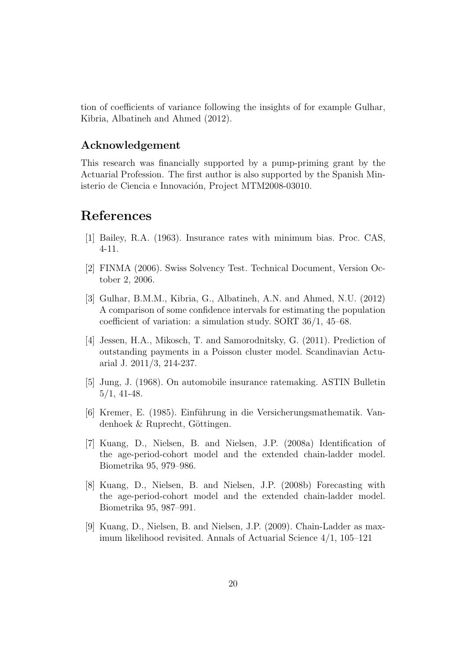tion of coefficients of variance following the insights of for example Gulhar, Kibria, Albatineh and Ahmed (2012).

#### Acknowledgement

This research was financially supported by a pump-priming grant by the Actuarial Profession. The first author is also supported by the Spanish Ministerio de Ciencia e Innovación, Project MTM2008-03010.

## References

- [1] Bailey, R.A. (1963). Insurance rates with minimum bias. Proc. CAS, 4-11.
- [2] FINMA (2006). Swiss Solvency Test. Technical Document, Version October 2, 2006.
- [3] Gulhar, B.M.M., Kibria, G., Albatineh, A.N. and Ahmed, N.U. (2012) A comparison of some confidence intervals for estimating the population coefficient of variation: a simulation study. SORT 36/1, 45–68.
- [4] Jessen, H.A., Mikosch, T. and Samorodnitsky, G. (2011). Prediction of outstanding payments in a Poisson cluster model. Scandinavian Actuarial J. 2011/3, 214-237.
- [5] Jung, J. (1968). On automobile insurance ratemaking. ASTIN Bulletin 5/1, 41-48.
- [6] Kremer, E. (1985). Einführung in die Versicherungsmathematik. Vandenhoek  $& \text{Ruprecht},$  Göttingen.
- [7] Kuang, D., Nielsen, B. and Nielsen, J.P. (2008a) Identification of the age-period-cohort model and the extended chain-ladder model. Biometrika 95, 979–986.
- [8] Kuang, D., Nielsen, B. and Nielsen, J.P. (2008b) Forecasting with the age-period-cohort model and the extended chain-ladder model. Biometrika 95, 987–991.
- [9] Kuang, D., Nielsen, B. and Nielsen, J.P. (2009). Chain-Ladder as maximum likelihood revisited. Annals of Actuarial Science 4/1, 105–121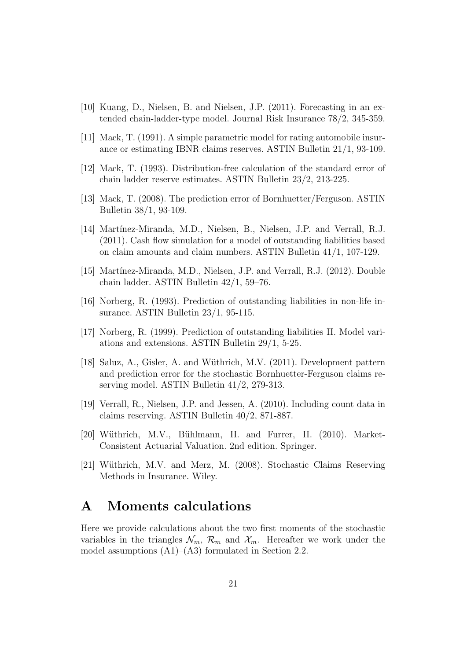- [10] Kuang, D., Nielsen, B. and Nielsen, J.P. (2011). Forecasting in an extended chain-ladder-type model. Journal Risk Insurance 78/2, 345-359.
- [11] Mack, T. (1991). A simple parametric model for rating automobile insurance or estimating IBNR claims reserves. ASTIN Bulletin 21/1, 93-109.
- [12] Mack, T. (1993). Distribution-free calculation of the standard error of chain ladder reserve estimates. ASTIN Bulletin 23/2, 213-225.
- [13] Mack, T. (2008). The prediction error of Bornhuetter/Ferguson. ASTIN Bulletin 38/1, 93-109.
- [14] Martínez-Miranda, M.D., Nielsen, B., Nielsen, J.P. and Verrall, R.J. (2011). Cash flow simulation for a model of outstanding liabilities based on claim amounts and claim numbers. ASTIN Bulletin 41/1, 107-129.
- [15] Martínez-Miranda, M.D., Nielsen, J.P. and Verrall, R.J. (2012). Double chain ladder. ASTIN Bulletin 42/1, 59–76.
- [16] Norberg, R. (1993). Prediction of outstanding liabilities in non-life insurance. ASTIN Bulletin 23/1, 95-115.
- [17] Norberg, R. (1999). Prediction of outstanding liabilities II. Model variations and extensions. ASTIN Bulletin 29/1, 5-25.
- [18] Saluz, A., Gisler, A. and W¨uthrich, M.V. (2011). Development pattern and prediction error for the stochastic Bornhuetter-Ferguson claims reserving model. ASTIN Bulletin 41/2, 279-313.
- [19] Verrall, R., Nielsen, J.P. and Jessen, A. (2010). Including count data in claims reserving. ASTIN Bulletin 40/2, 871-887.
- [20] Wüthrich, M.V., Bühlmann, H. and Furrer, H. (2010). Market-Consistent Actuarial Valuation. 2nd edition. Springer.
- [21] Wüthrich, M.V. and Merz, M. (2008). Stochastic Claims Reserving Methods in Insurance. Wiley.

### A Moments calculations

Here we provide calculations about the two first moments of the stochastic variables in the triangles  $\mathcal{N}_m$ ,  $\mathcal{R}_m$  and  $\mathcal{X}_m$ . Hereafter we work under the model assumptions  $(A1)$ – $(A3)$  formulated in Section 2.2.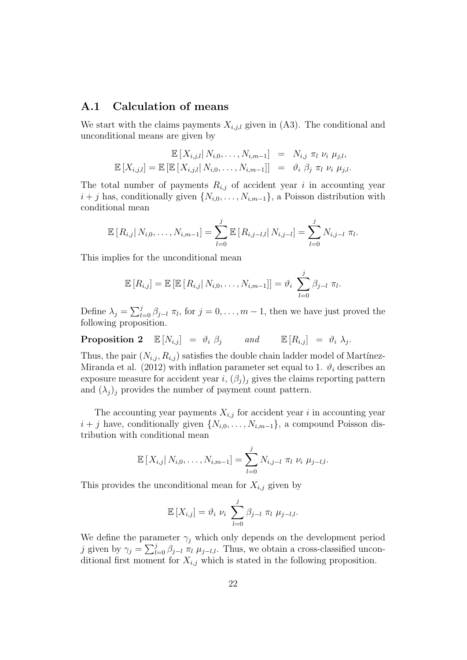#### A.1 Calculation of means

We start with the claims payments  $X_{i,j,l}$  given in (A3). The conditional and unconditional means are given by

$$
\mathbb{E}\left[X_{i,j,l}\right|N_{i,0},\ldots,N_{i,m-1}\right] = N_{i,j} \pi_l \nu_i \mu_{j,l},
$$
  

$$
\mathbb{E}\left[X_{i,j,l}\right] = \mathbb{E}\left[\mathbb{E}\left[X_{i,j,l}\right|N_{i,0},\ldots,N_{i,m-1}\right]\right] = \vartheta_i \beta_j \pi_l \nu_i \mu_{j,l}.
$$

The total number of payments  $R_{i,j}$  of accident year i in accounting year  $i + j$  has, conditionally given  $\{N_{i,0}, \ldots, N_{i,m-1}\}\$ , a Poisson distribution with conditional mean

$$
\mathbb{E}\left[R_{i,j}\right|N_{i,0},\ldots,N_{i,m-1}\right]=\sum_{l=0}^j\mathbb{E}\left[R_{i,j-l,l}\right|N_{i,j-l}\right]=\sum_{l=0}^jN_{i,j-l}\,\,\pi_l.
$$

This implies for the unconditional mean

$$
\mathbb{E}[R_{i,j}] = \mathbb{E}[\mathbb{E}[R_{i,j}|N_{i,0},\ldots,N_{i,m-1}]] = \vartheta_i \sum_{l=0}^j \beta_{j-l} \pi_l.
$$

Define  $\lambda_j = \sum_{l=0}^j \beta_{j-l} \pi_l$ , for  $j=0,\ldots,m-1$ , then we have just proved the following proposition.

**Proposition 2**  $\mathbb{E}[N_{i,j}] = \vartheta_i \; \beta_j$  and  $\mathbb{E}[R_{i,j}] = \vartheta_i \; \lambda_j$ .

Thus, the pair  $(N_{i,j}, R_{i,j})$  satisfies the double chain ladder model of Martínez-Miranda et al. (2012) with inflation parameter set equal to 1.  $\vartheta_i$  describes an exposure measure for accident year i,  $(\beta_i)_i$  gives the claims reporting pattern and  $(\lambda_i)_j$  provides the number of payment count pattern.

The accounting year payments  $X_{i,j}$  for accident year i in accounting year  $i + j$  have, conditionally given  $\{N_{i,0}, \ldots, N_{i,m-1}\}$ , a compound Poisson distribution with conditional mean

$$
\mathbb{E}\left[X_{i,j}\right|N_{i,0},\ldots,N_{i,m-1}\right]=\sum_{l=0}^j N_{i,j-l}\,\,\pi_l\,\,\nu_i\,\,\mu_{j-l,l}.
$$

This provides the unconditional mean for  $X_{i,j}$  given by

$$
\mathbb{E}\left[X_{i,j}\right] = \vartheta_i \ \nu_i \ \sum_{l=0}^j \beta_{j-l} \ \pi_l \ \mu_{j-l,l}.
$$

We define the parameter  $\gamma_i$  which only depends on the development period j given by  $\gamma_j = \sum_{l=0}^j \beta_{j-l} \pi_l \mu_{j-l,l}$ . Thus, we obtain a cross-classified unconditional first moment for  $X_{i,j}$  which is stated in the following proposition.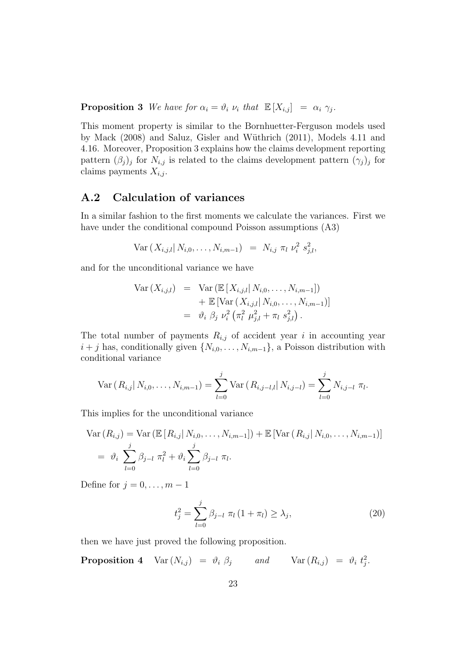**Proposition 3** We have for  $\alpha_i = \vartheta_i$   $\nu_i$  that  $\mathbb{E}[X_{i,j}] = \alpha_i \gamma_j$ .

This moment property is similar to the Bornhuetter-Ferguson models used by Mack (2008) and Saluz, Gisler and W¨uthrich (2011), Models 4.11 and 4.16. Moreover, Proposition 3 explains how the claims development reporting pattern  $(\beta_j)_j$  for  $N_{i,j}$  is related to the claims development pattern  $(\gamma_j)_j$  for claims payments  $X_{i,j}$ .

#### A.2 Calculation of variances

In a similar fashion to the first moments we calculate the variances. First we have under the conditional compound Poisson assumptions (A3)

$$
Var(X_{i,j,l}|N_{i,0},\ldots,N_{i,m-1}) = N_{i,j} \pi_l \nu_i^2 s_{j,l}^2,
$$

and for the unconditional variance we have

$$
Var(X_{i,j,l}) = Var(\mathbb{E}[X_{i,j,l}|N_{i,0},...,N_{i,m-1}])
$$
  
+  $\mathbb{E}[Var(X_{i,j,l}|N_{i,0},...,N_{i,m-1})]$   
=  $\vartheta_i \; \beta_j \; \nu_i^2 \left(\pi_l^2 \; \mu_{j,l}^2 + \pi_l \; s_{j,l}^2\right).$ 

The total number of payments  $R_{i,j}$  of accident year i in accounting year  $i + j$  has, conditionally given  $\{N_{i,0}, \ldots, N_{i,m-1}\}$ , a Poisson distribution with conditional variance

Var 
$$
(R_{i,j} | N_{i,0},..., N_{i,m-1}) = \sum_{l=0}^{j} \text{Var} (R_{i,j-l,l} | N_{i,j-l}) = \sum_{l=0}^{j} N_{i,j-l} \pi_{l}.
$$

This implies for the unconditional variance

Var 
$$
(R_{i,j})
$$
 = Var  $(\mathbb{E}[R_{i,j}|N_{i,0},...,N_{i,m-1}])$  +  $\mathbb{E}[Var(R_{i,j}|N_{i,0},...,N_{i,m-1})]$   
=  $\vartheta_i \sum_{l=0}^{j} \beta_{j-l} \pi_l^2 + \vartheta_i \sum_{l=0}^{j} \beta_{j-l} \pi_l$ .

Define for  $j = 0, \ldots, m - 1$ 

$$
t_j^2 = \sum_{l=0}^j \beta_{j-l} \ \pi_l (1 + \pi_l) \ge \lambda_j,\tag{20}
$$

then we have just proved the following proposition.

**Proposition 4**  $\text{Var}(N_{i,j}) = \vartheta_i \; \beta_j$  and  $\text{Var}(R_{i,j}) = \vartheta_i \; t_j^2$ .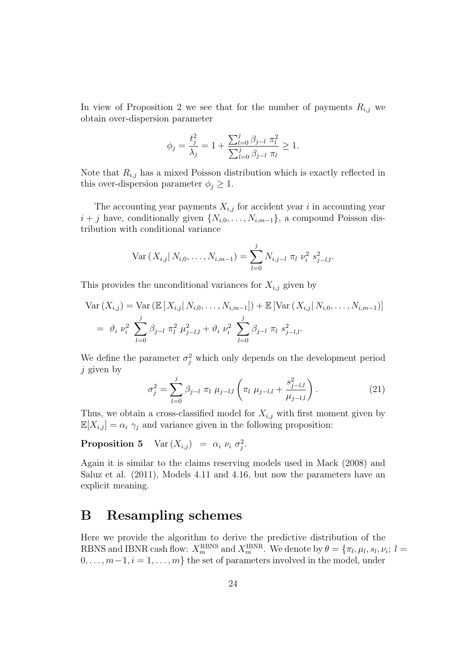In view of Proposition 2 we see that for the number of payments  $R_{i,j}$  we obtain over-dispersion parameter

$$
\phi_j = \frac{t_j^2}{\lambda_j} = 1 + \frac{\sum_{l=0}^j \beta_{j-l} \pi_l^2}{\sum_{l=0}^j \beta_{j-l} \pi_l} \ge 1.
$$

Note that  $R_{i,j}$  has a mixed Poisson distribution which is exactly reflected in this over-dispersion parameter  $\phi_j \geq 1$ .

The accounting year payments  $X_{i,j}$  for accident year i in accounting year  $i + j$  have, conditionally given  $\{N_{i,0}, \ldots, N_{i,m-1}\}\$ , a compound Poisson distribution with conditional variance

$$
\text{Var}\left(X_{i,j}\right|N_{i,0},\ldots,N_{i,m-1}\right)=\sum_{l=0}^j N_{i,j-l} \pi_l \,\nu_i^2 \, s_{j-l,l}^2.
$$

This provides the unconditional variances for  $X_{i,j}$  given by

Var 
$$
(X_{i,j})
$$
 = Var  $(\mathbb{E}[X_{i,j} | N_{i,0},..., N_{i,m-1}])$  +  $\mathbb{E}[Var(X_{i,j} | N_{i,0},..., N_{i,m-1})]$   
=  $\vartheta_i \nu_i^2 \sum_{l=0}^j \beta_{j-l} \pi_l^2 \mu_{j-l,l}^2 + \vartheta_i \nu_i^2 \sum_{l=0}^j \beta_{j-l} \pi_l s_{j-l,l}^2$ .

We define the parameter  $\sigma_j^2$  which only depends on the development period  $j$  given by

$$
\sigma_j^2 = \sum_{l=0}^j \beta_{j-l} \ \pi_l \ \mu_{j-l,l} \left( \pi_l \ \mu_{j-l,l} + \frac{s_{j-l,l}^2}{\mu_{j-l,l}} \right). \tag{21}
$$

Thus, we obtain a cross-classified model for  $X_{i,j}$  with first moment given by  $\mathbb{E}[X_{i,j}] = \alpha_i \gamma_j$  and variance given in the following proposition:

**Proposition 5**  $\text{Var}(X_{i,j}) = \alpha_i \nu_i \sigma_j^2$ .

Again it is similar to the claims reserving models used in Mack (2008) and Saluz et al. (2011), Models 4.11 and 4.16, but now the parameters have an explicit meaning.

### B Resampling schemes

Here we provide the algorithm to derive the predictive distribution of the RBNS and IBNR cash flow:  $X_m^{\text{RBNS}}$  and  $X_m^{\text{IBNR}}$ . We denote by  $\theta = \{\pi_l, \mu_l, s_l, \nu_i; l =$  $0, \ldots, m-1, i = 1, \ldots, m$  the set of parameters involved in the model, under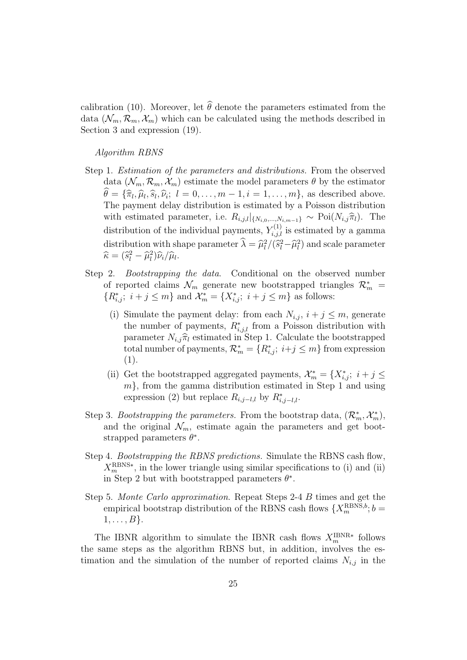calibration (10). Moreover, let  $\hat{\theta}$  denote the parameters estimated from the data  $(\mathcal{N}_m, \mathcal{R}_m, \mathcal{X}_m)$  which can be calculated using the methods described in Section 3 and expression (19).

Algorithm RBNS

- Step 1. Estimation of the parameters and distributions. From the observed data  $(\mathcal{N}_m, \mathcal{R}_m, \mathcal{X}_m)$  estimate the model parameters  $\theta$  by the estimator  $\theta = {\hat{\pi}_l, \hat{\mu}_l, \hat{s}_l, \hat{\nu}_i; l = 0, \dots, m-1, i = 1, \dots, m}$ , as described above. The payment delay distribution is estimated by a Poisson distribution with estimated parameter, i.e.  $R_{i,j,l}|_{\{N_{i,0},...,N_{i,m-1}\}} \sim \text{Poi}(N_{i,j}\hat{\pi}_l)$ . The distribution of the individual payments,  $Y_{i,j,l}^{(1)}$  is estimated by a gamma distribution with shape parameter  $\hat{\lambda} = \hat{\mu}_l^2/(\hat{s}_l^2 - \hat{\mu}_l^2)$  and scale parameter  $\hat{\kappa} = (\hat{s}_l^2 - \hat{\mu}_l^2) \hat{\kappa}_l/\hat{\mu}_l$ .  $\widehat{\kappa} = (\widehat{s}_l^2 - \widehat{\mu}_l^2)\widehat{\nu}_i/\widehat{\mu}_l.$
- Step 2. *Bootstrapping the data*. Conditional on the observed number of reported claims  $\mathcal{N}_m$  generate new bootstrapped triangles  $\mathcal{R}_m^*$  =  ${R^*_{i,j}}; i + j \leq m$  and  $\mathcal{X}^*_m = {X^*_{i,j}}; i + j \leq m$  as follows:
	- (i) Simulate the payment delay: from each  $N_{i,j}$ ,  $i + j \leq m$ , generate the number of payments,  $R^*_{i,j,l}$  from a Poisson distribution with parameter  $N_{i,j}\hat{\pi}_l$  estimated in Step 1. Calculate the bootstrapped total number of payments,  $\mathcal{R}_m^* = \{R_{i,j}^*; i+j \leq m\}$  from expression (1).
	- (ii) Get the bootstrapped aggregated payments,  $\mathcal{X}_m^* = \{X_{i,j}^*; i + j \leq j \}$  $m$ , from the gamma distribution estimated in Step 1 and using expression (2) but replace  $R_{i,j-l,l}$  by  $R_{i,j-l,l}^*$ .
- Step 3. Bootstrapping the parameters. From the bootstrap data,  $(\mathcal{R}_m^*, \mathcal{X}_m^*)$ , and the original  $\mathcal{N}_m$ , estimate again the parameters and get bootstrapped parameters  $\theta^*$ .
- Step 4. Bootstrapping the RBNS predictions. Simulate the RBNS cash flow,  $X_m^{\text{RBNS}*}$ , in the lower triangle using similar specifications to (i) and (ii) in Step 2 but with bootstrapped parameters  $\theta^*$ .
- Step 5. Monte Carlo approximation. Repeat Steps 2-4 B times and get the empirical bootstrap distribution of the RBNS cash flows  $\{X_m^{\text{RBNS},b}; b =$  $1, \ldots, B$ .

The IBNR algorithm to simulate the IBNR cash flows  $X_m^{\text{IBNR}*}$  follows the same steps as the algorithm RBNS but, in addition, involves the estimation and the simulation of the number of reported claims  $N_{i,j}$  in the